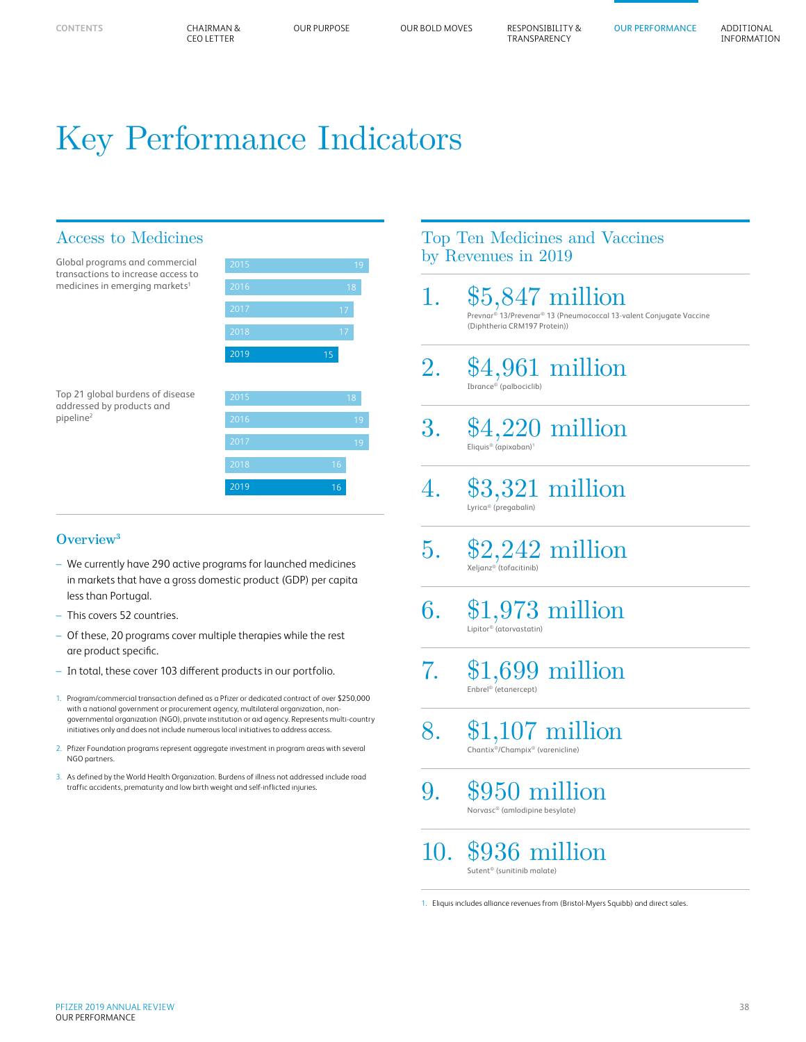# Key Performance Indicators

## Access to Medicines

| Global programs and commercial<br>transactions to increase access to | 2015 | 19     |
|----------------------------------------------------------------------|------|--------|
| medicines in emerging markets <sup>1</sup>                           | 2016 | 18     |
|                                                                      | 2017 | 17     |
|                                                                      | 2018 | 17     |
|                                                                      | 2019 | 15     |
|                                                                      |      |        |
| Ton 21 alohal hurdens of disease                                     | 2015 | $\sim$ |

Top 21 global burdens of disease addressed by products and pipeline2

| 2015 |    |
|------|----|
| 2016 |    |
| 2017 |    |
| 2018 | 16 |
| 2019 | 16 |

#### **Overview3**

- We currently have 290 active programs for launched medicines in markets that have a gross domestic product (GDP) per capita less than Portugal.
- This covers 52 countries.
- Of these, 20 programs cover multiple therapies while the rest are product specific.
- In total, these cover 103 different products in our portfolio.
- 1. Program/commercial transaction defined as a Pfizer or dedicated contract of over \$250,000 with a national government or procurement agency, multilateral organization, nongovernmental organization (NGO), private institution or aid agency. Represents multi-country initiatives only and does not include numerous local initiatives to address access.
- 2. Pfizer Foundation programs represent aggregate investment in program areas with several NGO partners.
- 3. As defined by the World Health Organization. Burdens of illness not addressed include road traffic accidents, prematurity and low birth weight and self-inflicted injuries.

## Top Ten Medicines and Vaccines by Revenues in 2019

- 1. \$5,847 million Prevnar® 13/Prevenar® 13 (Pneumococcal 13-valent Conjugate Vaccine (Diphtheria CRM197 Protein))
- 2. \$4,961 million Ibrance® (palbociclib)
- 3. \$4,220 million Eliquis® (apixaban)1
- 4. \$3,321 million Lyrica® (pregabalin)
- $5.$  \$2,242 million
- $6.$  \$1,973 million
- 7. \$1,699 million Enbrel® (etanercept)
- 8. \$1,107 million Chantix®/Champix® (varenicline)
- 9. \$950 million Norvasc® (amlodipine besylate)

10. \$936 million Sutent® (sunitinib malate)

1. Eliquis includes alliance revenues from (Bristol-Myers Squibb) and direct sales.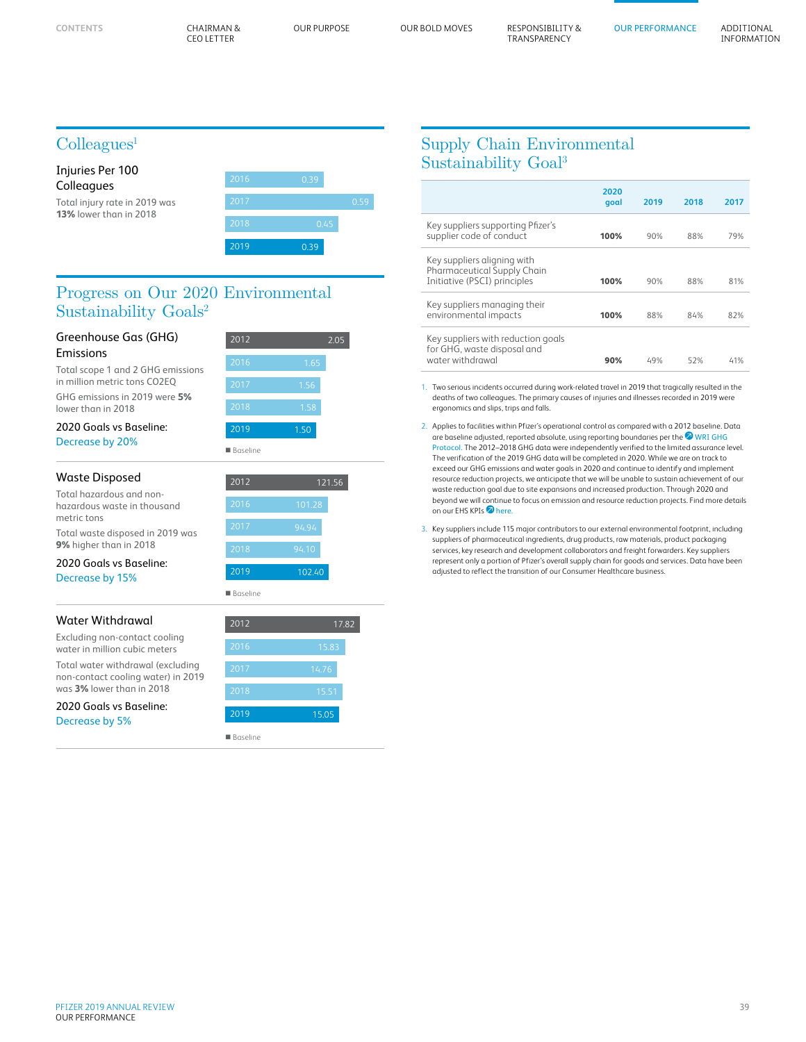**CONTENTS**

CEO LETTER CHAIRMAN &

OUR PERFORMANCE ADDITIONAL

INFORMATION

# $Coll$ eagues<sup>1</sup>

| Injuries Per 100<br>Colleagues | 2016 | 0.39 |      |
|--------------------------------|------|------|------|
| Total injury rate in 2019 was  | 2017 |      | 0.59 |
| <b>13%</b> lower than in 2018  | 2018 | 0.45 |      |
|                                | 2019 | 0.39 |      |

### Progress on Our 2020 Environmental Sustainability Goals<sup>2</sup>

| Greenhouse Gas (GHG)                                                    | 2012<br>2.05    |        |  |  |
|-------------------------------------------------------------------------|-----------------|--------|--|--|
| <b>Fmissions</b><br>Total scope 1 and 2 GHG emissions                   |                 |        |  |  |
|                                                                         | 2016            | 1.65   |  |  |
| in million metric tons CO2EQ                                            | 2017            | 1.56   |  |  |
| GHG emissions in 2019 were 5%<br>lower than in 2018                     | 2018            | 1.58   |  |  |
| 2020 Goals vs Baseline:                                                 | 2019            | 1.50   |  |  |
| Decrease by 20%                                                         | <b>Baseline</b> |        |  |  |
| Waste Disposed                                                          | 2012            | 121.56 |  |  |
| Total hazardous and non-<br>hazardous waste in thousand<br>metric tons  | 2016            | 101.28 |  |  |
| Total waste disposed in 2019 was                                        | 2017            | 94.94  |  |  |
| 9% higher than in 2018                                                  | 2018            | 94.10  |  |  |
| 2020 Goals vs Baseline:<br>Decrease by 15%                              | 2019            | 102.40 |  |  |
|                                                                         | <b>Baseline</b> |        |  |  |
| <b>Water Withdrawal</b>                                                 | 2012            | 17.82  |  |  |
| Excluding non-contact cooling<br>water in million cubic meters          | 2016            | 15.83  |  |  |
| Total water withdrawal (excluding<br>non-contact cooling water) in 2019 | 2017            | 14.76  |  |  |

was **3%** lower than in 2018 2020 Goals vs Baseline:

Decrease by 5%

| 2018            | 1.58   |
|-----------------|--------|
| 2019            | 1.50   |
| <b>Baseline</b> |        |
| 2012            |        |
|                 | 121.56 |
| 2016            | 101.28 |
| 2017            | 94.94  |
|                 |        |
| 2018            | 94.10  |

| 2012            | $17.\overline{82}$ |
|-----------------|--------------------|
| 2016            | $15.\overline{83}$ |
| 2017            | 14.76              |
| 2018            | 15.51              |
| 2019            | 15.05              |
| <b>Baseline</b> |                    |

# Supply Chain Environmental Sustainability Goal3

|                                                                                            | 2020<br>goal | 2019 | 2018 | 2017 |
|--------------------------------------------------------------------------------------------|--------------|------|------|------|
| Key suppliers supporting Pfizer's<br>supplier code of conduct                              | 100%         | 90%  | 88%  | 79%  |
| Key suppliers aligning with<br>Pharmaceutical Supply Chain<br>Initiative (PSCI) principles | 100%         | 90%  | 88%  | 81%  |
| Key suppliers managing their<br>environmental impacts                                      | 100%         | 88%  | 84%  | 82%  |
| Key suppliers with reduction goals<br>for GHG, waste disposal and<br>water withdrawal      | 90%          | 49%  | 52%  | 41%  |

1. Two serious incidents occurred during work-related travel in 2019 that tragically resulted in the deaths of two colleagues. The primary causes of injuries and illnesses recorded in 2019 were ergonomics and slips, trips and falls.

2. Applies to facilities within Pfizer's operational control as compared with a 2012 baseline. Data are baseline adjusted, reported absolute, using reporting boundaries per the  $\mathfrak A$  WRI GHG [Protocol.](https://www.ghgprotocol.org/sites/default/files/ghgp/standards/ghg-protocol-revised.pdf) The 2012–2018 GHG data were independently verified to the limited assurance level. The verification of the 2019 GHG data will be completed in 2020. While we are on track to exceed our GHG emissions and water goals in 2020 and continue to identify and implement resource reduction projects, we anticipate that we will be unable to sustain achievement of our waste reduction goal due to site expansions and increased production. Through 2020 and beyond we will continue to focus on emission and resource reduction projects. Find more details on our EHS KPIs<sup>2</sup> [here.](https://www.pfizer.com/purpose/workplace-responsibility/health-and-safety/key-performance-indicators)

3. Key suppliers include 115 major contributors to our external environmental footprint, including suppliers of pharmaceutical ingredients, drug products, raw materials, product packaging services, key research and development collaborators and freight forwarders. Key suppliers represent only a portion of Pfizer's overall supply chain for goods and services. Data have been adjusted to reflect the transition of our Consumer Healthcare business.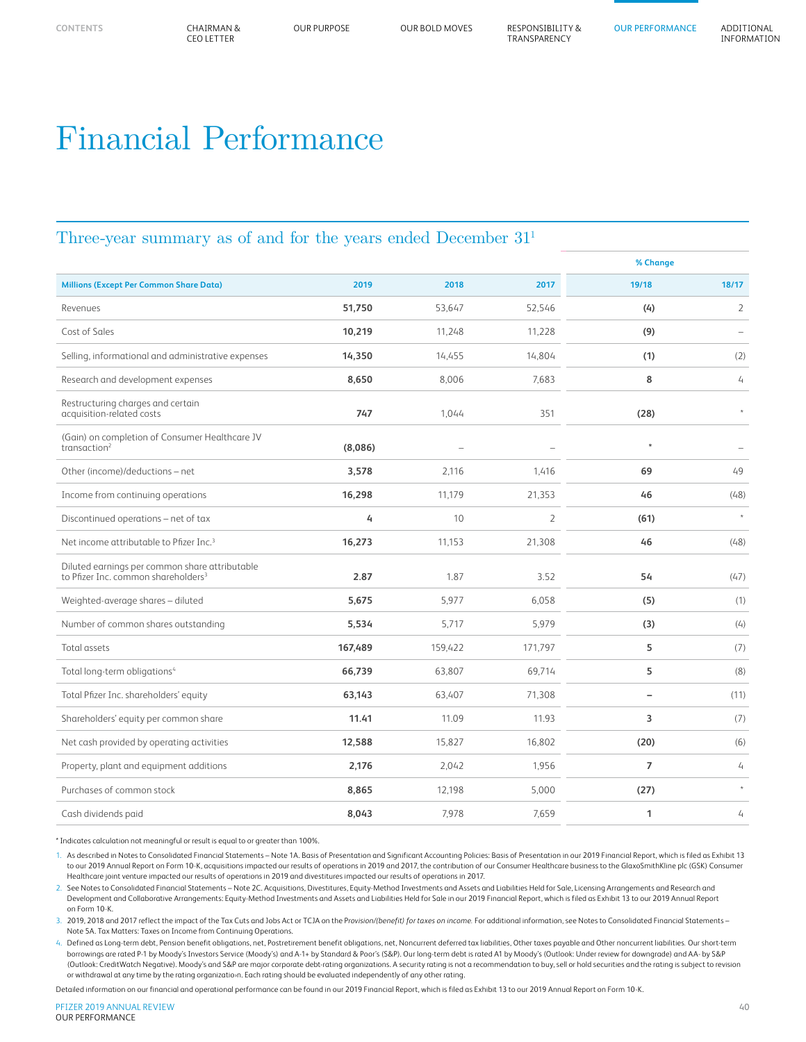OUR PURPOSE OUR BOLD MOVES RESPONSIBILITY & TRANSPARENCY

# Financial Performance

### Three-year summary as of and for the years ended December 311

|                                                                                                   |         |         |                | % Change       |                          |
|---------------------------------------------------------------------------------------------------|---------|---------|----------------|----------------|--------------------------|
| <b>Millions (Except Per Common Share Data)</b>                                                    | 2019    | 2018    | 2017           | 19/18          | 18/17                    |
| Revenues                                                                                          | 51,750  | 53.647  | 52,546         | (4)            | $\overline{2}$           |
| Cost of Sales                                                                                     | 10,219  | 11.248  | 11.228         | (9)            | $\overline{\phantom{m}}$ |
| Selling, informational and administrative expenses                                                | 14,350  | 14,455  | 14,804         | (1)            | (2)                      |
| Research and development expenses                                                                 | 8,650   | 8,006   | 7,683          | 8              | $\overline{4}$           |
| Restructuring charges and certain<br>acquisition-related costs                                    | 747     | 1,044   | 351            | (28)           | $\hat{\mathcal{R}}$      |
| (Gain) on completion of Consumer Healthcare JV<br>transaction <sup>2</sup>                        | (8,086) |         |                | $\star$        |                          |
| Other (income)/deductions - net                                                                   | 3,578   | 2,116   | 1,416          | 69             | 49                       |
| Income from continuing operations                                                                 | 16,298  | 11,179  | 21,353         | 46             | (48)                     |
| Discontinued operations - net of tax                                                              | 4       | 10      | $\overline{2}$ | (61)           | $\star$                  |
| Net income attributable to Pfizer Inc. <sup>3</sup>                                               | 16,273  | 11,153  | 21,308         | 46             | (48)                     |
| Diluted earnings per common share attributable<br>to Pfizer Inc. common shareholders <sup>3</sup> | 2.87    | 1.87    | 3.52           | 54             | (47)                     |
| Weighted-average shares - diluted                                                                 | 5,675   | 5.977   | 6,058          | (5)            | (1)                      |
| Number of common shares outstanding                                                               | 5,534   | 5,717   | 5,979          | (3)            | (4)                      |
| Total assets                                                                                      | 167,489 | 159,422 | 171,797        | 5              | (7)                      |
| Total long-term obligations <sup>4</sup>                                                          | 66,739  | 63,807  | 69,714         | 5              | (8)                      |
| Total Pfizer Inc. shareholders' equity                                                            | 63,143  | 63,407  | 71,308         | $\overline{a}$ | (11)                     |
| Shareholders' equity per common share                                                             | 11.41   | 11.09   | 11.93          | 3              | (7)                      |
| Net cash provided by operating activities                                                         | 12,588  | 15,827  | 16,802         | (20)           | (6)                      |
| Property, plant and equipment additions                                                           | 2,176   | 2,042   | 1,956          | $\overline{ }$ | 4                        |
| Purchases of common stock                                                                         | 8,865   | 12,198  | 5,000          | (27)           | $\star$                  |
| Cash dividends paid                                                                               | 8,043   | 7,978   | 7,659          | 1              | 4                        |

\* Indicates calculation not meaningful or result is equal to or greater than 100%.

1. As described in Notes to Consolidated Financial Statements *–* Note 1A. Basis of Presentation and Significant Accounting Policies: Basis of Presentation in our 2019 Financial Report, which is filed as Exhibit 13 to our 2019 Annual Report on Form 10-K, acquisitions impacted our results of operations in 2019 and 2017, the contribution of our Consumer Healthcare business to the GlaxoSmithKline plc (GSK) Consumer Healthcare joint venture impacted our results of operations in 2019 and divestitures impacted our results of operations in 2017.

2. See Notes to Consolidated Financial Statements – Note 2C. Acquisitions, Divestitures, Equity-Method Investments and Assets and Liabilities Held for Sale, Licensing Arrangements and Research and Development and Collaborative Arrangements: Equity-Method Investments and Assets and Liabilities Held for Sale in our 2019 Financial Report, which is filed as Exhibit 13 to our 2019 Annual Report on Form 10-K.

3. 2019, 2018 and 2017 reflect the impact of the Tax Cuts and Jobs Act or TCJA on the P*rovision/(benefit) for taxes on income.* For additional information, see Notes to Consolidated Financial Statements *–* Note 5A. Tax Matters: Taxes on Income from Continuing Operations.

4. Defined as Long-term debt, Pension benefit obligations, net, Postretirement benefit obligations, net, Noncurrent deferred tax liabilities, Other taxes payable and Other noncurrent liabilities*.* Our short-term borrowings are rated P-1 by Moody's Investors Service (Moody's) and A-1+ by Standard & Poor's (S&P). Our long-term debt is rated A1 by Moody's (Outlook: Under review for downgrade) and AA- by S&P (Outlook: CreditWatch Negative). Moody's and S&P are major corporate debt-rating organizations. A security rating is not a recommendation to buy, sell or hold securities and the rating is subject to revision or withdrawal at any time by the rating organizatio›n. Each rating should be evaluated independently of any other rating.

Detailed information on our financial and operational performance can be found in our 2019 Financial Report, which is filed as Exhibit 13 to our 2019 Annual Report on Form 10-K.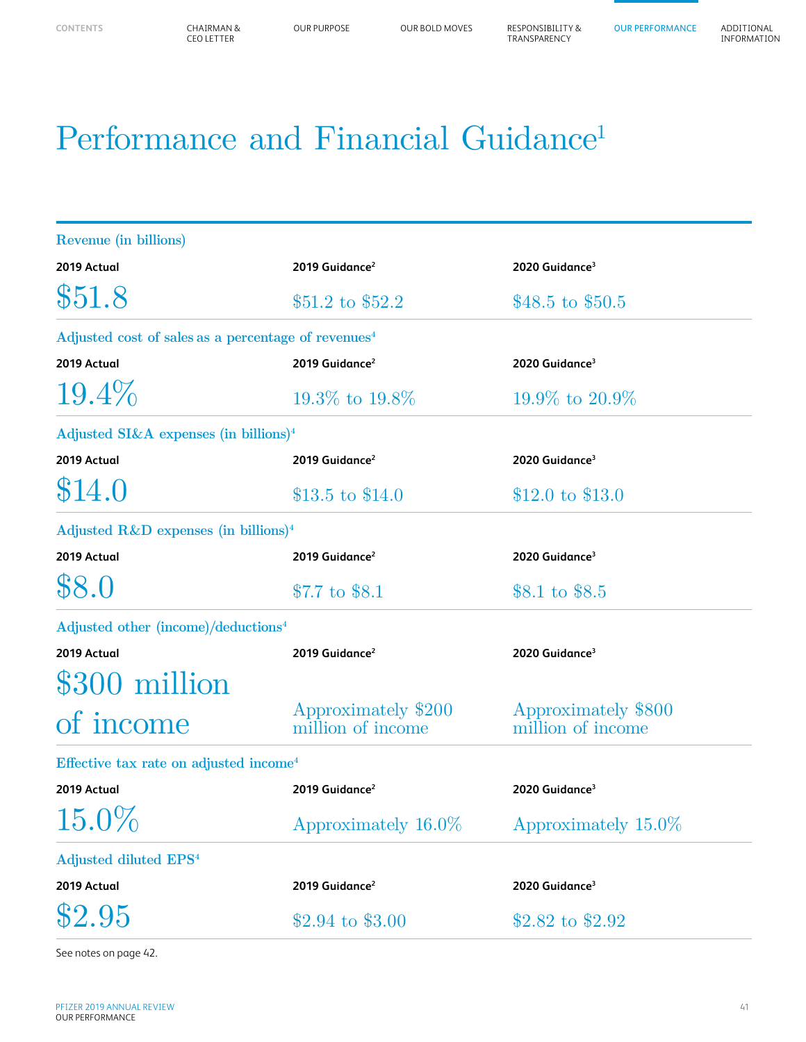# Performance and Financial Guidance<sup>1</sup>

| Revenue (in billions)                                           |                                          |                                          |  |  |
|-----------------------------------------------------------------|------------------------------------------|------------------------------------------|--|--|
| 2019 Actual                                                     | 2019 Guidance <sup>2</sup>               | 2020 Guidance <sup>3</sup>               |  |  |
| \$51.8                                                          | $$51.2$$ to $$52.2$$                     | \$48.5 to \$50.5                         |  |  |
| Adjusted cost of sales as a percentage of revenues <sup>4</sup> |                                          |                                          |  |  |
| 2019 Actual                                                     | 2019 Guidance <sup>2</sup>               | 2020 Guidance <sup>3</sup>               |  |  |
| $19.4\%$                                                        | $19.3\%$ to $19.8\%$                     | $19.9\%$ to $20.9\%$                     |  |  |
| Adjusted SI&A expenses (in billions) <sup>4</sup>               |                                          |                                          |  |  |
| 2019 Actual                                                     | 2019 Guidance <sup>2</sup>               | 2020 Guidance <sup>3</sup>               |  |  |
| \$14.0                                                          | \$13.5 to \$14.0                         | $$12.0 \text{ to } $13.0$                |  |  |
| Adjusted $R\&D$ expenses (in billions) <sup>4</sup>             |                                          |                                          |  |  |
| 2019 Actual                                                     | 2019 Guidance <sup>2</sup>               | 2020 Guidance <sup>3</sup>               |  |  |
| \$8.0                                                           | \$7.7 to \$8.1                           | \$8.1 to \$8.5                           |  |  |
| Adjusted other (income)/deductions <sup>4</sup>                 |                                          |                                          |  |  |
| 2019 Actual                                                     | 2019 Guidance <sup>2</sup>               | 2020 Guidance <sup>3</sup>               |  |  |
| \$300 million                                                   |                                          |                                          |  |  |
| of income                                                       | Approximately \$200<br>million of income | Approximately \$800<br>million of income |  |  |
| Effective tax rate on adjusted income <sup>4</sup>              |                                          |                                          |  |  |
| 2019 Actual                                                     | 2019 Guidance <sup>2</sup>               | 2020 Guidance <sup>3</sup>               |  |  |
| $15.0\%$                                                        | Approximately 16.0%                      | Approximately 15.0%                      |  |  |
| Adjusted diluted EPS <sup>4</sup>                               |                                          |                                          |  |  |
| 2019 Actual                                                     | 2019 Guidance <sup>2</sup>               | 2020 Guidance <sup>3</sup>               |  |  |
| \$2.95                                                          | \$2.94 to \$3.00                         | \$2.82 to \$2.92                         |  |  |

See notes on page 42.